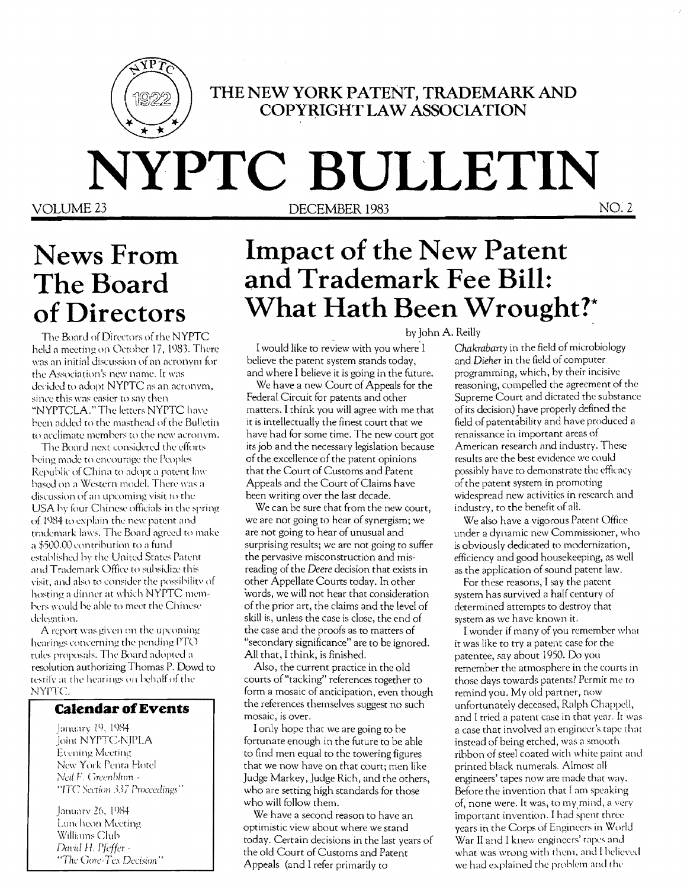

### THE NEW YORK PATENT, TRADEMARK AND **COPYRIGHT LAW ASSOCIATION**

# NYPTC BULLETIN

VOLUME 23

DECEMBER 1983

 $NO.2$ 

# **News From** The Board of Directors

The Board of Directors of the NYPTC held a meeting on October 17, 1983. There was an initial discussion of an acronym for the Association's new name. It was decided to adopt NYPTC as an acronym, since this was easier to say then "NYPTCLA." The letters NYPTC have been added to the masthead of the Bulletin to acclimate members to the new acronym.

The Board next considered the efforts being made to encourage the Peoples Republic of China to adopt a patent law based on a Western model. There was a discussion of an upcoming visit to the USA by four Chinese officials in the spring of 1984 to explain the new patent and trademark laws. The Board agreed to make a \$500.00 contribution to a fund established by the United States Patent and Trademark Office to subsidize this visit, and also to consider the possibility of hosting a dinner at which NYPTC members would be able to meet the Chinese delegation.

A report was given on the upcoming hearings concerning the pending PTO rules proposals. The Board adopted a resolution authorizing Thomas P. Dowd to testify at the hearings on behalf of the NYPTC.

### **Calendar of Events**

January 19, 1984 Joint NYPTC-NJPLA **Evening Meeting** New York Penta Hotel Neil F. Greenblum -"ITC Section 337 Proceedings"

January 26, 1984 Luncheon Meeting Williams Club David H. Pfeffer -"The Gore-Tex Decision"

# **Impact of the New Patent** and Trademark Fee Bill: What Hath Been Wrought?\*

I would like to review with you where I believe the patent system stands today, and where I believe it is going in the future.

We have a new Court of Appeals for the Federal Circuit for patents and other matters. I think you will agree with me that it is intellectually the finest court that we have had for some time. The new court got its job and the necessary legislation because of the excellence of the patent opinions that the Court of Customs and Patent Appeals and the Court of Claims have been writing over the last decade.

We can be sure that from the new court, we are not going to hear of synergism; we are not going to hear of unusual and surprising results; we are not going to suffer the pervasive misconstruction and misreading of the Deere decision that exists in other Appellate Courts today. In other words, we will not hear that consideration of the prior art, the claims and the level of skill is, unless the case is close, the end of the case and the proofs as to matters of "secondary significance" are to be ignored. All that, I think, is finished.

Also, the current practice in the old courts of "tacking" references together to form a mosaic of anticipation, even though the references themselves suggest no such mosaic, is over.

I only hope that we are going to be fortunate enough in the future to be able to find men equal to the towering figures that we now have on that court; men like Judge Markey, Judge Rich, and the others, who are setting high standards for those who will follow them.

We have a second reason to have an optimistic view about where we stand today. Certain decisions in the last years of the old Court of Customs and Patent Appeals (and I refer primarily to

by John A. Reilly

Chakrabarty in the field of microbiology and Dieher in the field of computer programming, which, by their incisive reasoning, compelled the agreement of the Supreme Court and dictated the substance of its decision) have properly defined the field of patentability and have produced a renaissance in important areas of American research and industry. These results are the best evidence we could possibly have to demonstrate the efficacy of the patent system in promoting widespread new activities in research and industry, to the benefit of all.

We also have a vigorous Patent Office under a dynamic new Commissioner, who is obviously dedicated to modernization, efficiency and good housekeeping, as well as the application of sound patent law.

For these reasons, I say the patent system has survived a half century of determined attempts to destroy that system as we have known it.

I wonder if many of you remember what it was like to try a patent case for the patentee, say about 1950. Do you remember the atmosphere in the courts in those days towards patents? Permit me to remind you. My old partner, now unfortunately deceased, Ralph Chappell, and I tried a patent case in that year. It was a case that involved an engineer's tape that instead of being etched, was a smooth ribbon of steel coated with white paint and printed black numerals. Almost all engineers' tapes now are made that way. Before the invention that I am speaking of, none were. It was, to my mind, a very important invention. I had spent three years in the Corps of Engineers in World War II and I knew engineers' tapes and what was wrong with them, and I believed we had explained the problem and the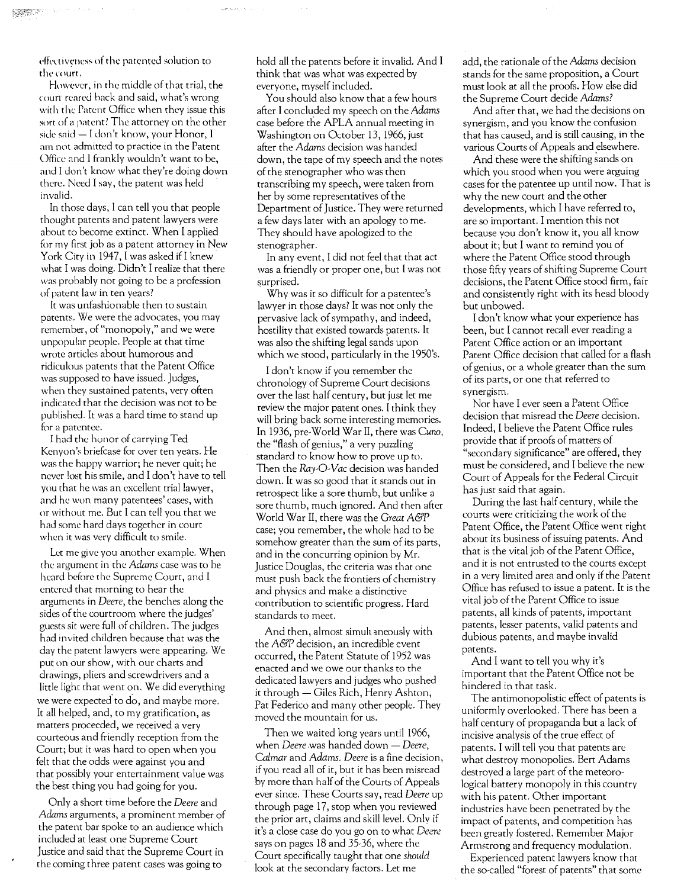effectiveness of the patented solution to the court.

However, in the middle of that trial, the court reared hack and said, what's wrong with the Patent Office when they issue this sort of a patent? The attorney on the other side said - I don't know, your Honor, I am not admitted to practice in the Patent Office and 1 frankly wouldn't want to be, and I don't know what they're doing down there. Need I say, the patent was held invalid.

In those days, I can tell you that people thought patents and patent lawyers were about to become extinct. When I applied for my first job as a patent attorney in New York City in 1947, I was asked if I knew what I was doing. Didn't I realize that there was probably not going to be a profession of patent law in ten years?

It was unfashionable then to sustain patents. We were the advocates, you may remember, of "monopoly," and we were unpopular people. People at that time wrote articles about humorous and ridiculous patents that the Patent Office was supposed to have issued. Judges, when they sustained patents, very often indicated that the decision was not to be published. It was a hard time to stand up for a patentee.

I had the honor of carrying Ted Kenyon's briefcase for over ten years. He was the happy warrior; he never quit; he never lost his smile, and I don't have to tell you that he was an excellent trial lawyer, and he won many patentees' cases, with or without me. But I can tell you that we had some hard days together in court when it was very difficult to smile.

Let me give you another examplc. When the argument in the Adams case was to be heard before the Supreme Court, and I entered that morning to hear the arguments in *Deere,* the benches along the sides of the courtroom where the judges' guests sit were full of children. The judges had invited children because that was the day the parent lawyers were appearing. We put on our show, with our charts and drawings, pliers and screwdrivers and a little light that went on. We did everything we were expected' to do, and maybe more. It all helped, and, to my gratification, as matters proceeded, we received a very courteous and friendly reception from the Court; but it was hard to open when you felt that the odds were against you and that possibly your entertainment value was the best thing you had going for you.

Only a short time before the *Deere* and *Adams* arguments, a prominent member of the patent bar spoke to an audience which included at least one Supreme Court Justice and said that the Supreme Court in the coming three patent cases was going to

hold all the patents before it invalid. And I think that was what was expected by everyone, myself included.

You should also know that a few hours after I concluded my speech on the *Adams*  case before the APLA annual meeting in Washington on October 13, 1966, just after the *Adams* decision was handed down, the tape of my speech and the notes of the stenographer who was then transcribing my speech, were taken from her by some representatives of the Department of Justice. They were returned a few days later with an apology to me. They should have apologized to the stenographer.

In any event, I did not feel that that act was a friendly or proper one, but I was not surprised.

Why was it so difficult for a patentee's lawyer in those days? It was not only the pervasive lack of sympathy, and indeed, hostility that existed towards patents. It was also the shifting legal sands upon which we stood, particularly in the 1950's.

I don't know if you remember the chronology of Supreme Court decisions over the last half century, but just let me review the major patent ones. I think they will bring back some interesting memories. In 1936, pre-World War II, there was *Cuno,*  the "flash of genius," a very puzzling standard to know how to prove up to. Then the *Ray-O-Vac* decision was handed down. It was so good that it stands out in retrospect like a sore thumb, but unlike a sore thumb, much ignored. And then after World War II, there was the *Great A&P*  case; you remember, the whole had to be somehow greater than the sum of its parts, and in the concurring opinion by Mr. Justice Douglas, the criteria was that one must push back the frontiers of chemistry and physics and make a distinctive contribution to scientific progress. Hard standards to meet.

And then, almost simult aneously with the *A&P* decision, an incredible event occurred, the Patent Statute of 1952 was enacted and we owe our thanks to the dedicated lawyers and judges who pushed it through  $-$  Giles Rich, Henry Ashton, Pat Federico and many other people. They moved the mountain for us.

Then we waited long years until 1966, when *Deere* was handed down - *Deere*, *Calmar* and *Adams. Deere* is a fine decision, if you read all of it, but it has been misread by more than half of the Courts of Appeals ever since. These Courts say, read *Deere* up through page 17, stop when you reviewed the prior art, claims and skill level. Only if it's a close case do you go on to what *Deere*  says on pages 18 and 35-36, where the Court specifically taught that one *should*  look at the secondary factors. Let me

add, the rationale ofthe *Adams* decision stands for the same proposition, a Court must look at all the proofs. How else did the Supreme Court decide *Adams?* 

And after that, we had the decisions on synergism, and you know the confusion that has caused, and is still causing, in the various Courts of Appeals and elsewhere.

And these were the shifting sands on which you stood when you were arguing cases for the patentee up until now. That is why the new court and the other developments, which I have referred to, are so important. I mention this not because you don't know it, you all know about it; but I want to remind you of where the Patent Office stood through those fifty years of shifting Supreme Court decisions, the Patent Office stood firm, fair and consistently right with its head bloody but unbowed.

I don't know what your experience has been, but I cannot recall ever reading a Patent Office action or an important Patent Office decision that called for a flash of genius, or a whole greater than the sum of its parts, or one that referred to synergism.

Nor have I ever seen a Patent Office decision that misread the *Deere* decision. Indeed, I believe the Patent Office rules provide that if proofs of matters of "secondary significance" are offered, they must be considered, and I believe the new Court of Appeals for the Federal Circuit has just said that again.

During the last half century, while the courts were criticizing the work of the Patent Office, the Patent Office went right about its business of issuing patents. And that is the vital job of the Patent Office, and it is not entrusted to the courts except in a very limited area and only if the Patent Office has refused to issue a patent. It is the vital job of the Patent Office to issue patents, all kinds of patents, important patents, lesser patents, valid patents and dubious patents, and maybe invalid patents.

And I want to tell you why it's important that the Patent Office not be hindered in that task.

The antimonopolistic effect of patents is uniformly overlooked. There has been a half century of propaganda but a lack of incisive analysis of the true effect of patents. I will tell you that patents are what destroy monopolies. Bert Adams destroyed a large part of the meteorological battery monopoly in this country with his patent. Other important industries have been penetrated by the impact of patents, and competition has been greatly fostered. Remember Major Armstrong and frequency modulation.

Experienced patent lawyers know that the so-called "forest of patents" that some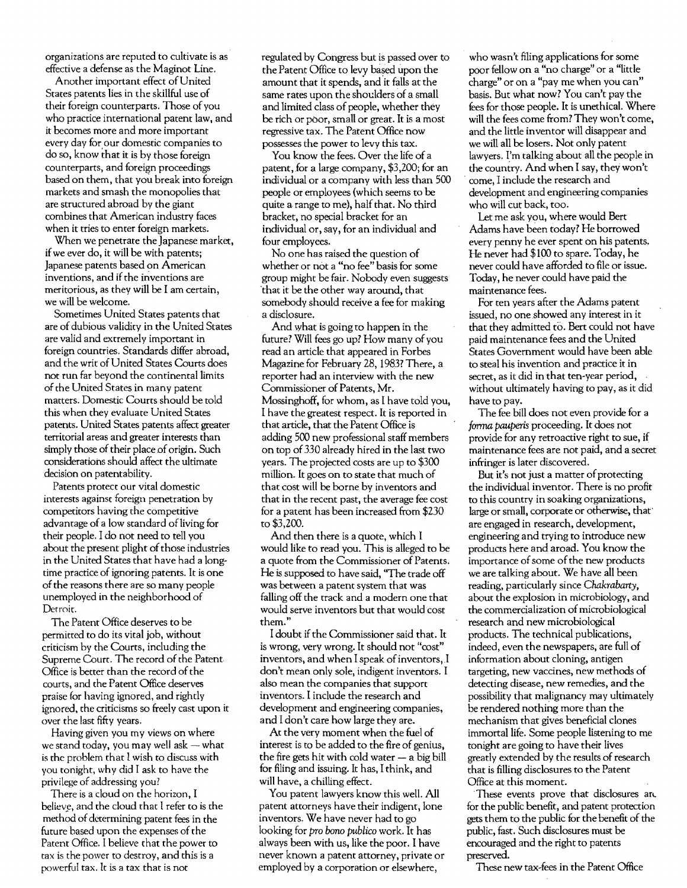organizations are reputed to cultivate is as effective a defense as the Maginot Line.

Another important effect of United States patents lies in the skillful use of their foreign counterparts. Those of you who practice international patent law, and it becomes more and more important every day for our domestic companies to do so, know that it is by those foreign counterparts, and foreign proceedings based on them, that you break into foreign markets and smash the monopolies that are structured abroad by the giant combines that American industry faces when it tries to enter foreign markets.

When we penetrate the Japanese market. if we ever do, it will be with patents; Japanese patents based on American inventions, and if the inventions are meritorious, as they will be I am certain, we will be welcome.

Sometimes United States patents that are of dubious validity in the United States are valid and extremely important in foreign countries. Standards differ abroad, and the writ of United States Courts does not run far beyond the continental limits of the United States in many patent matters. Domestic Courts should be told this when they evaluate United States patents. United States patents affect greater territorial areas and greater interests than simply those of their place of origin. Such considerations should affect the ultimate decision on patentability.

Patents protect our vital domestic interests against foreign penetration by competitors having the competitive advantage of a low standard of living for their people. I do not need to tell you about the present plight of those industries in the United States that have had a longtime practice of ignoring patents. It is one of the reasons there are so many people unemployed in the neighborhood of Detroit.

The Patent Office deserves to be permitted to do its vital job, without criticism by the Courts, including the Supreme Court. The record of the Patent Office is better than the record of the courts, and the Patent Office deserves praise (or having ignored, and rightly ignored, the criticisms so freely cast upon it over the last fifty years.

Having given you my views on where we stand today, you may well ask  $-$  what is the problem that I wish to discuss with you tonight, why did I ask to have the privilege of addressing you?

There is a cloud on the horizon, I believe, and the cloud that I refer to is the method of determining patent fees in the future based upon the expenses of the Patent Office. I believe that the power to tax is the power to destroy, and this is a powerful tax. It is a tax that is not

regulated by Congress but is passed over to the Patent Office to levy based upon the amount that it spends, and it falls at the same rates upon the shoulders of a small and limited class of people, whether they be rich or poor, small or great. It is a most regressive tax. The Patent Office now possesses the power to levy this tax.

You know the fees. Over the life of a patent, for a large company, \$3,200; for an individual or a company with less than 500 people or employees (which seems to be quite a range to me), half that. No third bracket, no special bracket for an individual or, say, for an individual and four employees.

No one has raised the question of whether or not a "no fee" basis for some group might be fair. Nobody even suggests 'that it be the other way around, that somebody should receive a fee for making a disclosure.

And what is going to happen in the future? Will fees go up? How many of you read an article that appeared in Forbes Magazine for February 28, 19837 There, a reporter had an interview with the new Commissioner of Patents, Mr. Mossinghoff, for whom, as I have told you, I have the greatest respect. It is reported in that article, that the Patent Office is adding 500 new professional staff members on top of 330 already hired in the last two years. The projected costs are up to \$300 million. It goes on to state that much of that cost will be borne by inventors and that in the recent past, the average fee cost for a patent has been increased from \$230 to \$3,200.

And then there is a quote, which I would like to read you. This is alleged to be a quote from the Commissioner of Patents. He is supposed to have said, "The trade off was between a patent system that was falling off the rrack and a modern one that would serve inventors but that would cost them."

I doubt if the Commissioner said that. It is wrong, very wrong. It should not "cost" inventors, and when I speak of inventors, I don't mean only sole, indigent inventors. I also mean the companies that support inventors. I include the research and development and engineering companies, and I don't care how large they are.

At the very moment when the fuel of interest is to be added to the fire of genius, the fire gets hit with cold water  $-$  a big bill for filing and issuing. It has, I think, and will have, a chilling effect.

You patent lawyers know this well. All patent attorneys have their indigent, lone inventors. We have never had to go looking for *pro bono publico* work. It has always been with us, like the poor. I have never known a patent attorney, private or employed by a corporation or elsewhere,

who wasn't filing applications for some poor fellow on a "no charge" or a "little charge" or on a "pay me when you can" basis. But what now? You can't pay the fees for those people. It is unethical. Where will the fees come from? They won't come, and the little inventor will disappear and we will all be losers. Not only patent lawyers. I'm talking about all the people in the country. And when I say, they won't come, I include the research and development and engineering companies who will cut back, too.

Let me ask you, where would Bert Adams have been today? He borrowed every penny he ever spent on his patents. He never had \$100 to spare. Today, he never could have afforded to file or issue. Today, he never could have paid the maintenance fees.

For ten years after the Adams patent issued, no one showed any interest in it that they admitted to. Bert could not have paid maintenance fees and the United States Government would have been able to steal his invention and practice it in secret, as it did in that ten-year period, without ultimately having to pay, as it did have to pay.

The fee bill does not even provide for a *forma pauperis* proceeding. It does not provide for any retroactive right to sue, if maintenance fees are not paid, and a secret infringer is later discovered.

But it's not just a matter of protecting the individual inventor. There is no profit to this country in soaking organizations, large or small, corporate or otherwise, that' are engaged in research, development, engineering and trying to introduce new products here and aroad. You know the importance of some of the new products we are talking about. We have all been reading, panicularly since *Chakrabarty,*  about the explosion in microbiology, and the commercialization of microbiological research and new microbiological products. The technical publications. indeed, even the newspapers, are full of information about cloning, antigen targeting, new vaccines, new methods of detecting disease, new remedies, and the possibility that malignancy may ultimately be rendered nothing more than the mechanism that gives beneficial clones immortal life. Some people listening to me tonight are going to have their lives greatly extended by the results of research that is filling disclosures to the Patent Office at this moment.

These events prove that disclosures are for the public benefit, and patent protection gets them to the public for the benefit of the public, fast. Such disclosures must be encouraged and the right to patents preserved.

These new tax-fees in the Patent Office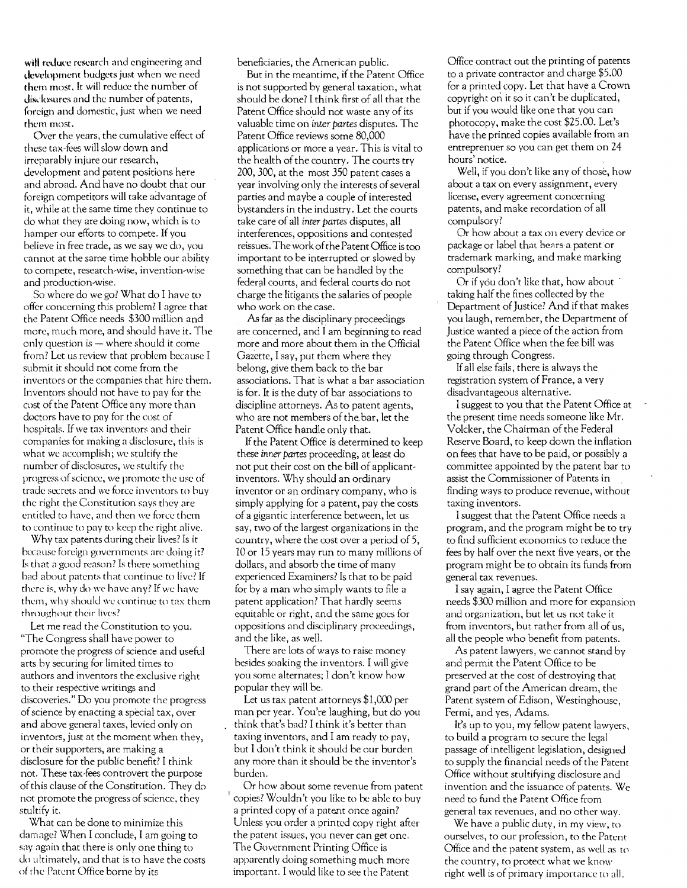will reduce research and engineering and development budgets just when we need them most. It will reduce the number of disclosures and the number of patents, foreign and domestic, just when we need them most.

Over the years, the cumulative effect of these tax-fees will slow down and irreparably injure our research, development and patent positions here and abroad. And have no doubt that our foreign competitors will take advantage of it, while at the same time they continue to do what they are doing now, which is to hamper our efforts to compete. If you believe in free trade. as we say we do, you cannot at the same time hobble our ability to compete, research-wise, invention-wise and production-wise.

So where do we go? What do I have to offer concerning this problem? I agree that the Patent Office needs \$300 million and more, much more, and should have it. The only question is  $-$  where should it come from? Let us review that problem because I submit it should not come from the inventors or the companies that hire them. Inventors should not have to pay for the cost of the Patent Office any more than doctors have to pay for the cost of hospitals. If we tax inventors and their companies for making a disclosure, this is what we accomplish; we stultify the number of disclosures, we stultify the progress of science, we promote the use of trade secrets and we force inventors to huy the right the Constitution says they arc entitled to have, and then we force them to continue to pay to keep the right alive.

Why tax patents during their lives? Is it because foreign governments arc doing it? Is that a good reason? Is there something bad about patents that continue to live? If there is, why do we have any? If we have them, why should we continue to tax them throughout their lives?

Let me read the Constitution to you. "The Congress shall have power to promote the progress of science and useful arts by securing for limited times to authors and inventors the exclusive right to their respective writings and discoveries." Do you promote the progress ofscience by enacting a special tax, over and above general taxes, levied only on inventors, just at the moment when they, or their supporters, are making a disclosure for the public benefit? I think not. These tax-fees controvert the purpose ofthis clause of the Constitution. They do not promote the progress of science, they stultify it.

What can be done to minimize this damage? When I conclude, I am going to say again that there is only one thing to do ultimately, and that is to have the costs of the Patent Office borne by its

beneficiaries, the American public.

But in the meantime, if the Patent Office is not supported by general taxation, what should be done? I think first of all that the Patent Office should not waste any of its valuable time on *'inter partes* disputes. The Patent Office reviews some 80,000 applications or more a year. This is vital to the health of the country. The courts try 200,300. at the most 350 patent cases a year involving only the interests of several parties and maybe a couple of interested bystanders in the industry. Let the courts take care of all *inter partes* disputes, all interferences, oppositions and contested reissues. The work ofthe Patent Office is too important to be interrupted or slowed by something that can be handled by the federal courts, and federal courts do not charge the litigants the salaries of people who work on the case.

As·far as the disciplinary proceedings are concerned, and I am beginning to read more and more about them in the Official Gazette, I say, put them where they belong, give them back to the bar associations. That is what a bar association is for. It is the duty of bar associations to discipline attorneys. As to patent agents, who are not members of the. bar, let the Patent Office handle only that.

If the Patent Office is determined to keep these *inner partes* proceeding, at least do not put their cost on the bill of applicantinventors. Why should an ordinary inventor or an ordinary company, who is simply applying for a patent, pay the costs of a gigantic interference between, let us say, two of the largest organizations in the country, where the cost over a period of 5, 10 or 15 years may run to many millions of dollars, and absorb the time of many experienced Examiners? Is that to be paid for by a man who simply wants to file a patent application? That hardly seems equitable or right. and the same goes for oppositions and disciplinary proceedings, and the like, as well.

There are lots of ways to raise money besides soaking the inventors. I will give you some alternates; I don't know how popular they will be.

Let us tax patent attorneys \$1,000 per man per year. You're laughing, but do you think that's bad? I think it's better than taxing inventors, and I am ready to pay, but I don't think it should be our burden any more than it should be the inventor's burden.

Or how about some revenue from patent copies? Wouldn't you like to be able to buy a printed copy of a patent once again? Unless you order a printed copy right after the patent issues, you never can get one. The Government Printing Office is apparently doing something much more important. I would like to see the Patent

Office contract out the printing of patents to a private contractor and charge \$5.00 for a printed copy. Let that have a Crown copyright on it so it can't be duplicated, but if you would like one that you can photocopy, make the cost \$25.00. Let's have the printed copies available from an entreprenuer so you can get them on 24 hours' notice.

Well, if you don't like any of those, how about a tax on every assignment, every license, every agreement concerning patents, and make recordation of all compulsory?

Or how about a tax on every device or package or label that bears a patent or trademark marking, and make marking compulsory?

Or if you don't like that, how about taking half the fines collected by the Department of Justice? And if that makes you laugh, remember, the Department of Justice wanted a piece of the action from the Patent Office when the fee bill was going through Congress.

If all else fails, there is always the registration system of France, a very disadvantageous alternative.

I suggest to you that the Patent Office at the present time needs someone like Mr. Volcker, the Chairman ofthe Federal Reserve Board, to keep down the inflation on fees that have to be paid, or possibly a committee appointed by the patent bar to assist the Commissioner of Patents in finding ways to produce revenue, without taxing inventors.

I suggest that the Patent Office needs a program, and the program might be to try to find sufficient economics to reduce the fees by half over the next five years, or the program might be to obtain its funds from general tax revenues.

I say again, I agree the Patent Office needs \$300 million and more for expansion and organization, but let us not take it from inventors, but rather from all of us, all the people who benefit from patents.

As patent lawyers, we cannot stand by and permit the Patent Office to be preserved at the cost of destroying that grand part of the American dream, the Patent system of Edison, Westinghouse, Fermi, and yes, Adams.

It's up to you, my fellow patent lawyers, to build a program to secure the legal passage of intelligent legislation, designed to supply the financial needs of the Patem Office without stultifying disclosure and invention and the issuance of patents. We need to fund the Patent Office from general tax revenues, and no other way.

We have a public duty, in my view, to ourselves, to our profession, to the Patent Office and the patent system, as well as to the country, to protect what we know right well is of primary importance to all.